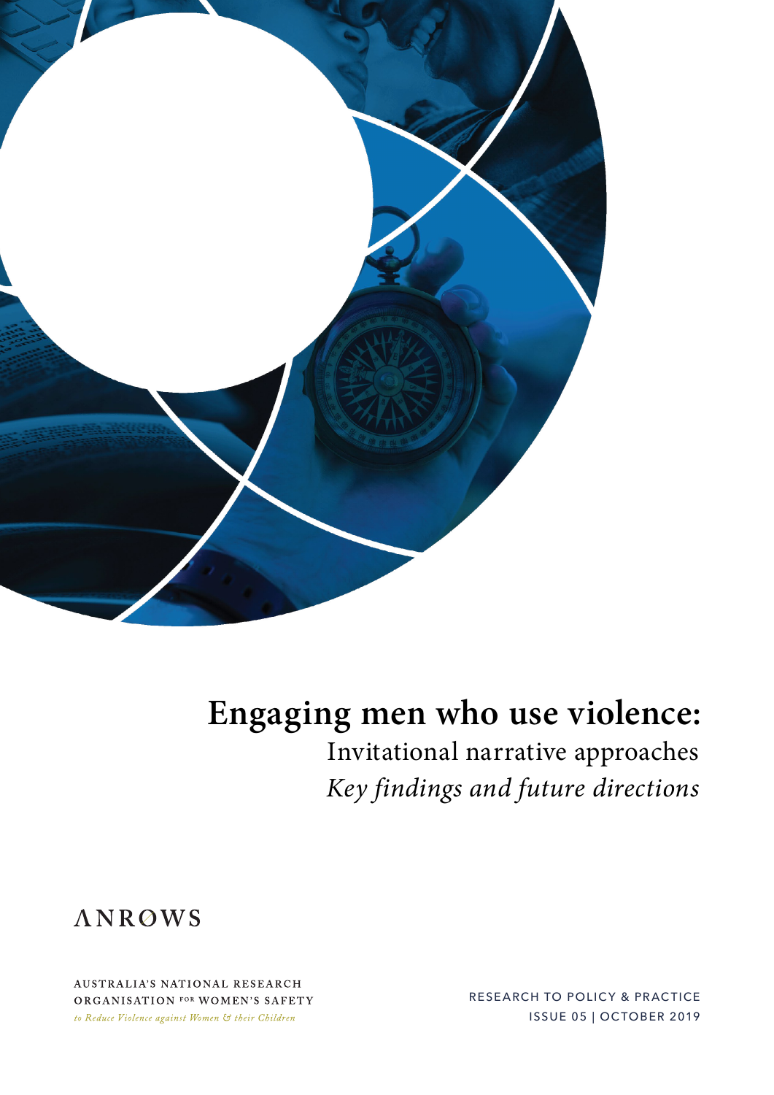

## **Engaging men who use violence:**

Invitational narrative approaches *Key findings and future directions*



AUSTRALIA'S NATIONAL RESEARCH ORGANISATION FOR WOMEN'S SAFETY to Reduce Violence against Women & their Children

RESEARCH TO POLICY & PRACTICE ISSUE 05 | OCTOBER 2019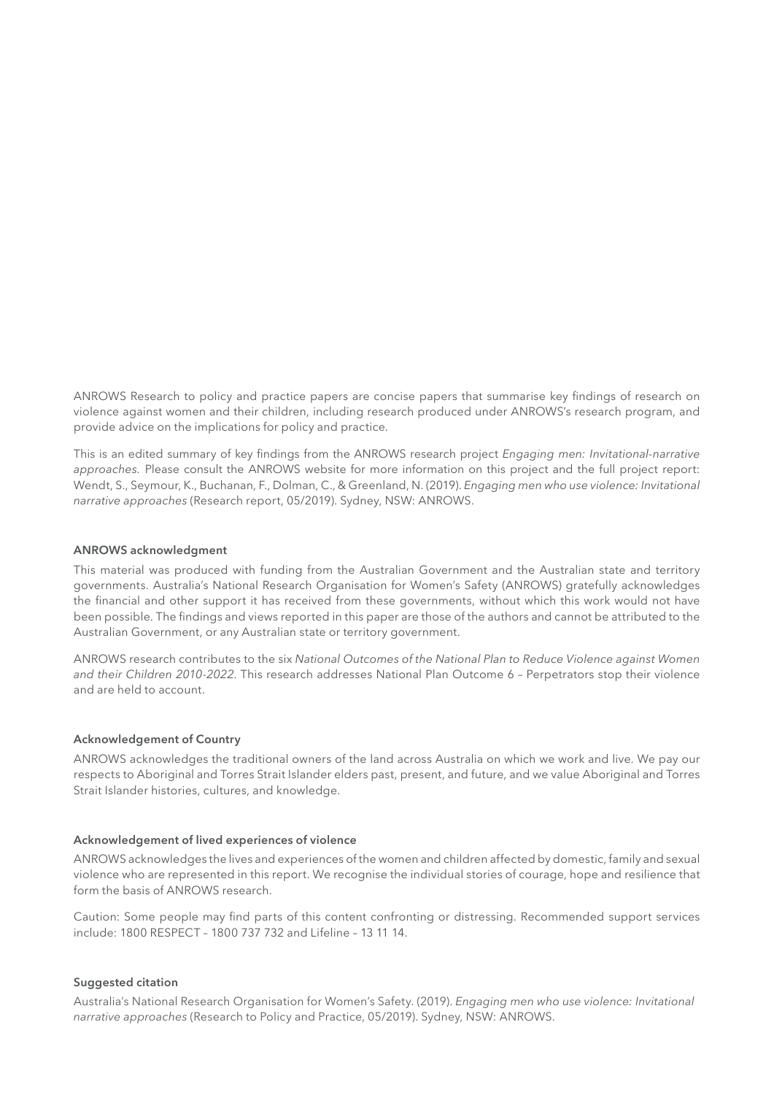ANROWS Research to policy and practice papers are concise papers that summarise key findings of research on violence against women and their children, including research produced under ANROWS's research program, and provide advice on the implications for policy and practice.

This is an edited summary of key findings from the ANROWS research project *Engaging men: Invitational-narrative approaches.* Please consult the ANROWS website for more information on this project and the full project report: Wendt, S., Seymour, K., Buchanan, F., Dolman, C., & Greenland, N. (2019). *Engaging men who use violence: Invitational narrative approaches* (Research report, 05/2019). Sydney, NSW: ANROWS.

#### **ANROWS acknowledgment**

This material was produced with funding from the Australian Government and the Australian state and territory governments. Australia's National Research Organisation for Women's Safety (ANROWS) gratefully acknowledges the financial and other support it has received from these governments, without which this work would not have been possible. The findings and views reported in this paper are those of the authors and cannot be attributed to the Australian Government, or any Australian state or territory government.

ANROWS research contributes to the six *National Outcomes of the National Plan to Reduce Violence against Women and their Children 2010-2022*. This research addresses National Plan Outcome 6 – Perpetrators stop their violence and are held to account.

#### **Acknowledgement of Country**

ANROWS acknowledges the traditional owners of the land across Australia on which we work and live. We pay our respects to Aboriginal and Torres Strait Islander elders past, present, and future, and we value Aboriginal and Torres Strait Islander histories, cultures, and knowledge.

#### **Acknowledgement of lived experiences of violence**

ANROWS acknowledges the lives and experiences of the women and children affected by domestic, family and sexual violence who are represented in this report. We recognise the individual stories of courage, hope and resilience that form the basis of ANROWS research.

Caution: Some people may find parts of this content confronting or distressing. Recommended support services include: 1800 RESPECT – 1800 737 732 and Lifeline – 13 11 14.

#### **Suggested citation**

Australia's National Research Organisation for Women's Safety. (2019). *Engaging men who use violence: Invitational narrative approaches* (Research to Policy and Practice, 05/2019). Sydney, NSW: ANROWS.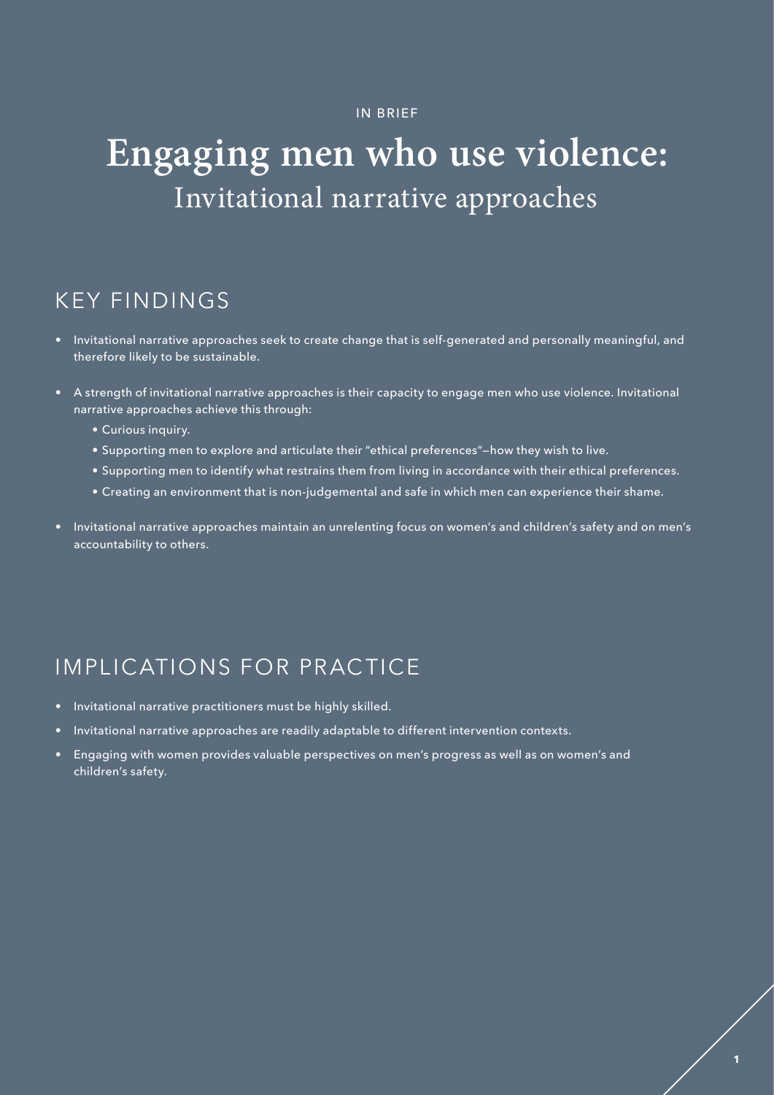#### IN BRIEF

## **Engaging men who use violence:** Invitational narrative approaches

## KEY FINDINGS

- Invitational narrative approaches seek to create change that is self-generated and personally meaningful, and therefore likely to be sustainable.
- A strength of invitational narrative approaches is their capacity to engage men who use violence. Invitational narrative approaches achieve this through:
	- Curious inquiry.
	- Supporting men to explore and articulate their "ethical preferences"—how they wish to live.
	- Supporting men to identify what restrains them from living in accordance with their ethical preferences.
	- Creating an environment that is non-judgemental and safe in which men can experience their shame.
- Invitational narrative approaches maintain an unrelenting focus on women's and children's safety and on men's accountability to others.

## IMPLICATIONS FOR PRACTICE

- Invitational narrative practitioners must be highly skilled.
- Invitational narrative approaches are readily adaptable to different intervention contexts.
- Engaging with women provides valuable perspectives on men's progress as well as on women's and children's safety.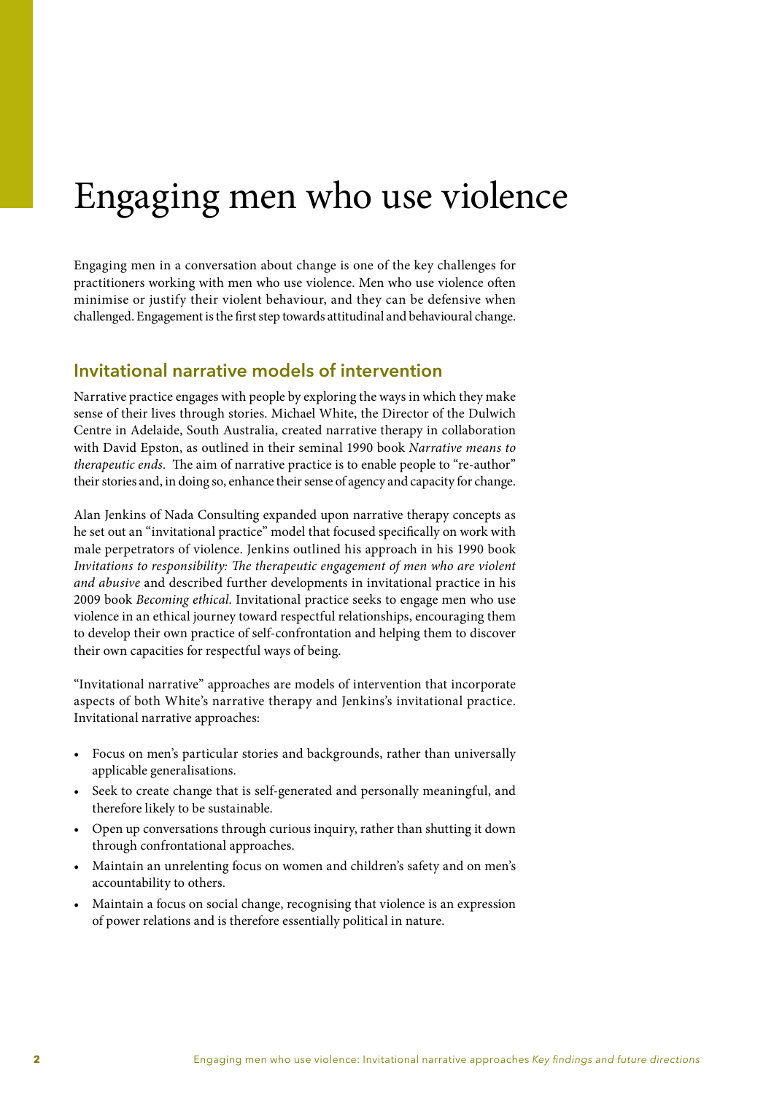## Engaging men who use violence

Engaging men in a conversation about change is one of the key challenges for practitioners working with men who use violence. Men who use violence often minimise or justify their violent behaviour, and they can be defensive when challenged. Engagement is the first step towards attitudinal and behavioural change.

### **Invitational narrative models of intervention**

Narrative practice engages with people by exploring the ways in which they make sense of their lives through stories. Michael White, the Director of the Dulwich Centre in Adelaide, South Australia, created narrative therapy in collaboration with David Epston, as outlined in their seminal 1990 book *Narrative means to therapeutic ends.* The aim of narrative practice is to enable people to "re-author" their stories and, in doing so, enhance their sense of agency and capacity for change.

Alan Jenkins of Nada Consulting expanded upon narrative therapy concepts as he set out an "invitational practice" model that focused specifically on work with male perpetrators of violence. Jenkins outlined his approach in his 1990 book *Invitations to responsibility: The therapeutic engagement of men who are violent and abusive* and described further developments in invitational practice in his 2009 book *Becoming ethical*. Invitational practice seeks to engage men who use violence in an ethical journey toward respectful relationships, encouraging them to develop their own practice of self-confrontation and helping them to discover their own capacities for respectful ways of being.

"Invitational narrative" approaches are models of intervention that incorporate aspects of both White's narrative therapy and Jenkins's invitational practice. Invitational narrative approaches:

- Focus on men's particular stories and backgrounds, rather than universally applicable generalisations.
- Seek to create change that is self-generated and personally meaningful, and therefore likely to be sustainable.
- Open up conversations through curious inquiry, rather than shutting it down through confrontational approaches.
- Maintain an unrelenting focus on women and children's safety and on men's accountability to others.
- Maintain a focus on social change, recognising that violence is an expression of power relations and is therefore essentially political in nature.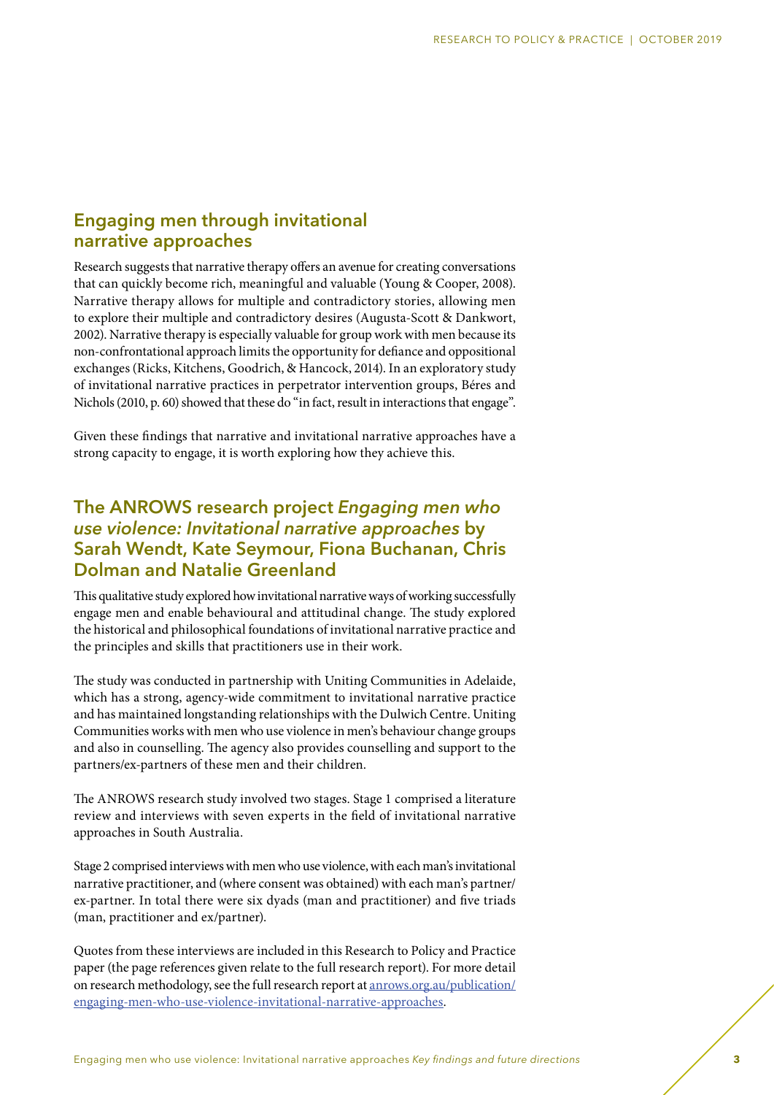### **Engaging men through invitational narrative approaches**

Research suggests that narrative therapy offers an avenue for creating conversations that can quickly become rich, meaningful and valuable (Young & Cooper, 2008). Narrative therapy allows for multiple and contradictory stories, allowing men to explore their multiple and contradictory desires (Augusta-Scott & Dankwort, 2002). Narrative therapy is especially valuable for group work with men because its non-confrontational approach limits the opportunity for defiance and oppositional exchanges (Ricks, Kitchens, Goodrich, & Hancock, 2014). In an exploratory study of invitational narrative practices in perpetrator intervention groups, Béres and Nichols (2010, p. 60) showed that these do "in fact, result in interactions that engage".

Given these findings that narrative and invitational narrative approaches have a strong capacity to engage, it is worth exploring how they achieve this.

## **The ANROWS research project** *Engaging men who use violence: Invitational narrative approaches* **by Sarah Wendt, Kate Seymour, Fiona Buchanan, Chris Dolman and Natalie Greenland**

This qualitative study explored how invitational narrative ways of working successfully engage men and enable behavioural and attitudinal change. The study explored the historical and philosophical foundations of invitational narrative practice and the principles and skills that practitioners use in their work.

The study was conducted in partnership with Uniting Communities in Adelaide, which has a strong, agency-wide commitment to invitational narrative practice and has maintained longstanding relationships with the Dulwich Centre. Uniting Communities works with men who use violence in men's behaviour change groups and also in counselling. The agency also provides counselling and support to the partners/ex-partners of these men and their children.

The ANROWS research study involved two stages. Stage 1 comprised a literature review and interviews with seven experts in the field of invitational narrative approaches in South Australia.

Stage 2 comprised interviews with men who use violence, with each man's invitational narrative practitioner, and (where consent was obtained) with each man's partner/ ex-partner. In total there were six dyads (man and practitioner) and five triads (man, practitioner and ex/partner).

Quotes from these interviews are included in this Research to Policy and Practice paper (the page references given relate to the full research report). For more detail on research methodology, see the full research report at [anrows.org.au/publication/](http://www.anrows.org.au/publication/engaging-men-who-use-violence-invitational-narrative-approaches) [engaging-men-who-use-violence-invitational-narrative-approaches](http://www.anrows.org.au/publication/engaging-men-who-use-violence-invitational-narrative-approaches).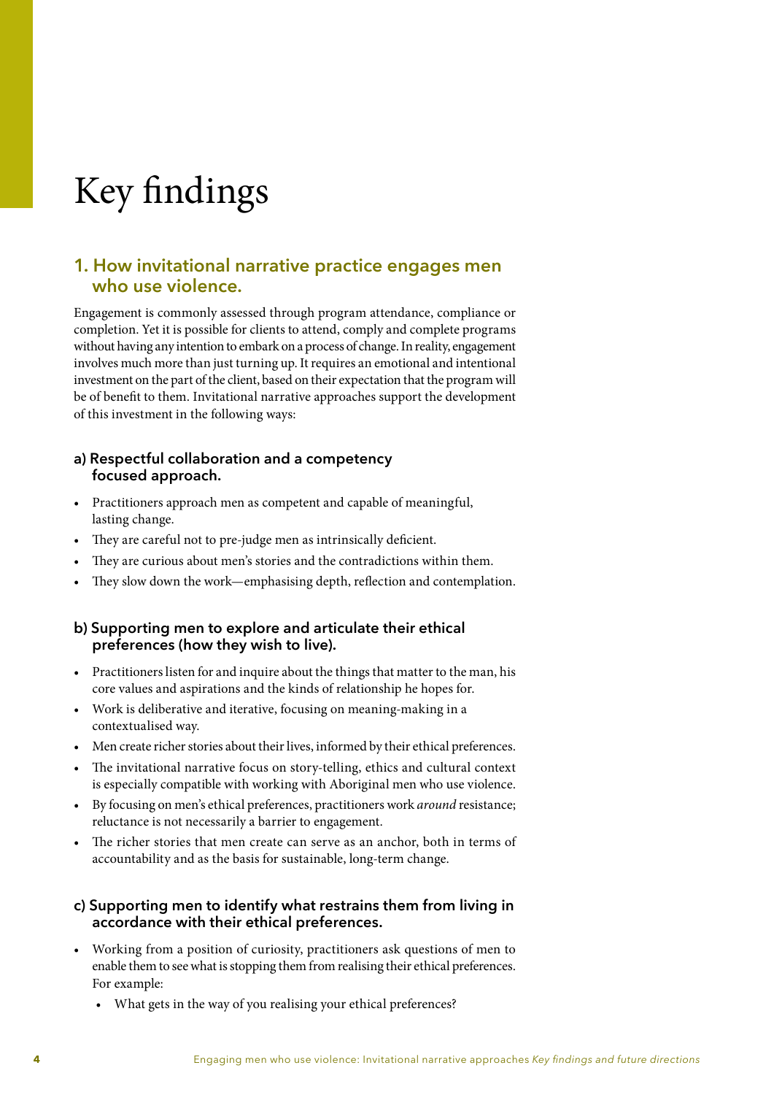# Key findings

### **1. How invitational narrative practice engages men who use violence.**

Engagement is commonly assessed through program attendance, compliance or completion. Yet it is possible for clients to attend, comply and complete programs without having any intention to embark on a process of change. In reality, engagement involves much more than just turning up. It requires an emotional and intentional investment on the part of the client, based on their expectation that the program will be of benefit to them. Invitational narrative approaches support the development of this investment in the following ways:

#### **a) Respectful collaboration and a competency focused approach.**

- Practitioners approach men as competent and capable of meaningful, lasting change.
- They are careful not to pre-judge men as intrinsically deficient.
- They are curious about men's stories and the contradictions within them.
- They slow down the work—emphasising depth, reflection and contemplation.

#### **b) Supporting men to explore and articulate their ethical preferences (how they wish to live).**

- Practitioners listen for and inquire about the things that matter to the man, his core values and aspirations and the kinds of relationship he hopes for.
- Work is deliberative and iterative, focusing on meaning-making in a contextualised way.
- Men create richer stories about their lives, informed by their ethical preferences.
- The invitational narrative focus on story-telling, ethics and cultural context is especially compatible with working with Aboriginal men who use violence.
- By focusing on men's ethical preferences, practitioners work *around* resistance; reluctance is not necessarily a barrier to engagement.
- The richer stories that men create can serve as an anchor, both in terms of accountability and as the basis for sustainable, long-term change.

#### **c) Supporting men to identify what restrains them from living in accordance with their ethical preferences.**

- Working from a position of curiosity, practitioners ask questions of men to enable them to see what is stopping them from realising their ethical preferences. For example:
	- What gets in the way of you realising your ethical preferences?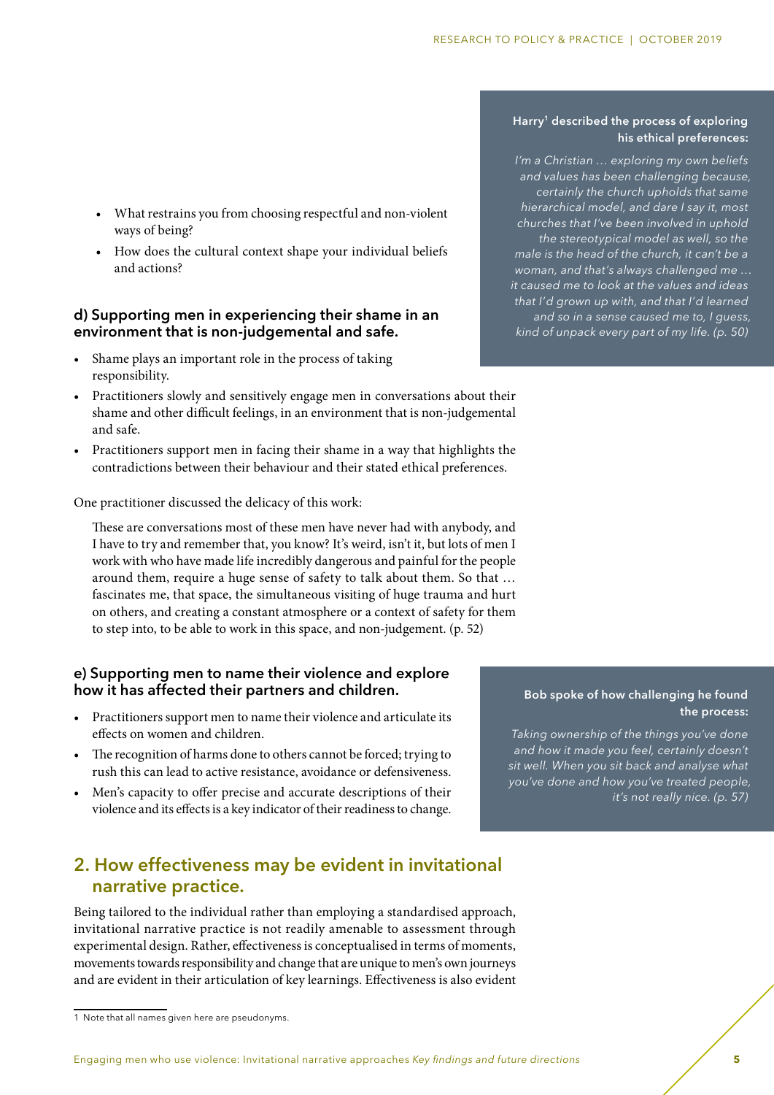- What restrains you from choosing respectful and non-violent ways of being?
- How does the cultural context shape your individual beliefs and actions?

#### **d) Supporting men in experiencing their shame in an environment that is non-judgemental and safe.**

- Shame plays an important role in the process of taking responsibility.
- Practitioners slowly and sensitively engage men in conversations about their shame and other difficult feelings, in an environment that is non-judgemental and safe.
- Practitioners support men in facing their shame in a way that highlights the contradictions between their behaviour and their stated ethical preferences.

One practitioner discussed the delicacy of this work:

These are conversations most of these men have never had with anybody, and I have to try and remember that, you know? It's weird, isn't it, but lots of men I work with who have made life incredibly dangerous and painful for the people around them, require a huge sense of safety to talk about them. So that … fascinates me, that space, the simultaneous visiting of huge trauma and hurt on others, and creating a constant atmosphere or a context of safety for them to step into, to be able to work in this space, and non-judgement. (p. 52)

#### **e) Supporting men to name their violence and explore how it has affected their partners and children.**

- Practitioners support men to name their violence and articulate its effects on women and children.
- The recognition of harms done to others cannot be forced; trying to rush this can lead to active resistance, avoidance or defensiveness.
- Men's capacity to offer precise and accurate descriptions of their violence and its effects is a key indicator of their readiness to change.

### **2. How effectiveness may be evident in invitational narrative practice.**

Being tailored to the individual rather than employing a standardised approach, invitational narrative practice is not readily amenable to assessment through experimental design. Rather, effectiveness is conceptualised in terms of moments, movements towards responsibility and change that are unique to men's own journeys and are evident in their articulation of key learnings. Effectiveness is also evident

#### **Harry1 described the process of exploring his ethical preferences:**

*I'm a Christian … exploring my own beliefs and values has been challenging because, certainly the church upholds that same hierarchical model, and dare I say it, most churches that I've been involved in uphold the stereotypical model as well, so the male is the head of the church, it can't be a woman, and that's always challenged me … it caused me to look at the values and ideas that I'd grown up with, and that I'd learned and so in a sense caused me to, I guess, kind of unpack every part of my life. (p. 50)*

#### **Bob spoke of how challenging he found the process:**

*Taking ownership of the things you've done and how it made you feel, certainly doesn't sit well. When you sit back and analyse what you've done and how you've treated people, it's not really nice. (p. 57)*

<sup>1</sup> Note that all names given here are pseudonyms.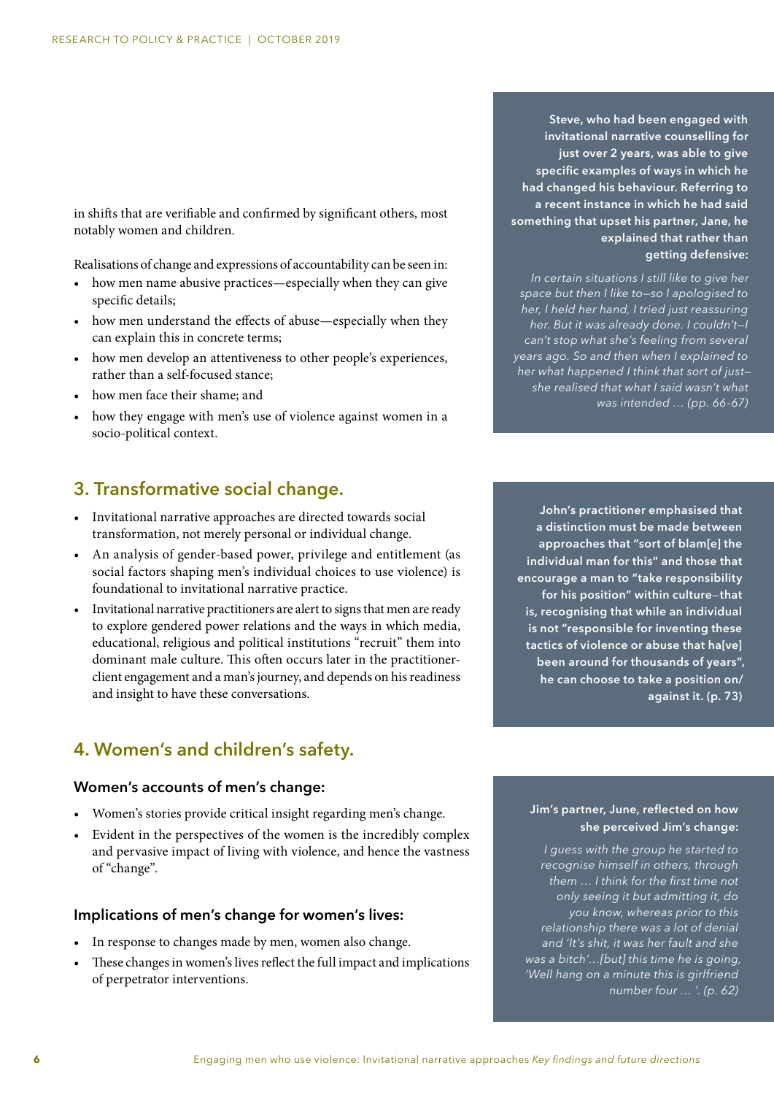in shifts that are verifiable and confirmed by significant others, most notably women and children.

Realisations of change and expressions of accountability can be seen in:

- how men name abusive practices—especially when they can give specific details;
- how men understand the effects of abuse—especially when they can explain this in concrete terms;
- how men develop an attentiveness to other people's experiences, rather than a self-focused stance;
- how men face their shame; and
- how they engage with men's use of violence against women in a socio-political context.

### **3. Transformative social change.**

- Invitational narrative approaches are directed towards social transformation, not merely personal or individual change.
- An analysis of gender-based power, privilege and entitlement (as social factors shaping men's individual choices to use violence) is foundational to invitational narrative practice.
- Invitational narrative practitioners are alert to signs that men are ready to explore gendered power relations and the ways in which media, educational, religious and political institutions "recruit" them into dominant male culture. This often occurs later in the practitionerclient engagement and a man's journey, and depends on his readiness and insight to have these conversations.

## **4. Women's and children's safety.**

#### **Women's accounts of men's change:**

- Women's stories provide critical insight regarding men's change.
- Evident in the perspectives of the women is the incredibly complex and pervasive impact of living with violence, and hence the vastness of "change".

#### **Implications of men's change for women's lives:**

- In response to changes made by men, women also change.
- These changes in women's lives reflect the full impact and implications of perpetrator interventions.

**Steve, who had been engaged with invitational narrative counselling for just over 2 years, was able to give specific examples of ways in which he had changed his behaviour. Referring to a recent instance in which he had said something that upset his partner, Jane, he explained that rather than getting defensive:**

*In certain situations I still like to give her space but then I like to—so I apologised to her, I held her hand, I tried just reassuring her. But it was already done. I couldn't—I can't stop what she's feeling from several years ago. So and then when I explained to her what happened I think that sort of just she realised that what I said wasn't what was intended … (pp. 66-67)*

**John's practitioner emphasised that a distinction must be made between approaches that "sort of blam[e] the individual man for this" and those that encourage a man to "take responsibility for his position" within culture***—***that is, recognising that while an individual is not "responsible for inventing these tactics of violence or abuse that ha[ve] been around for thousands of years", he can choose to take a position on/ against it. (p. 73)**

#### **Jim's partner, June, reflected on how she perceived Jim's change:**

*I guess with the group he started to recognise himself in others, through them … I think for the first time not only seeing it but admitting it, do you know, whereas prior to this relationship there was a lot of denial and 'It's shit, it was her fault and she was a bitch'…[but] this time he is going, 'Well hang on a minute this is girlfriend number four … '. (p. 62)*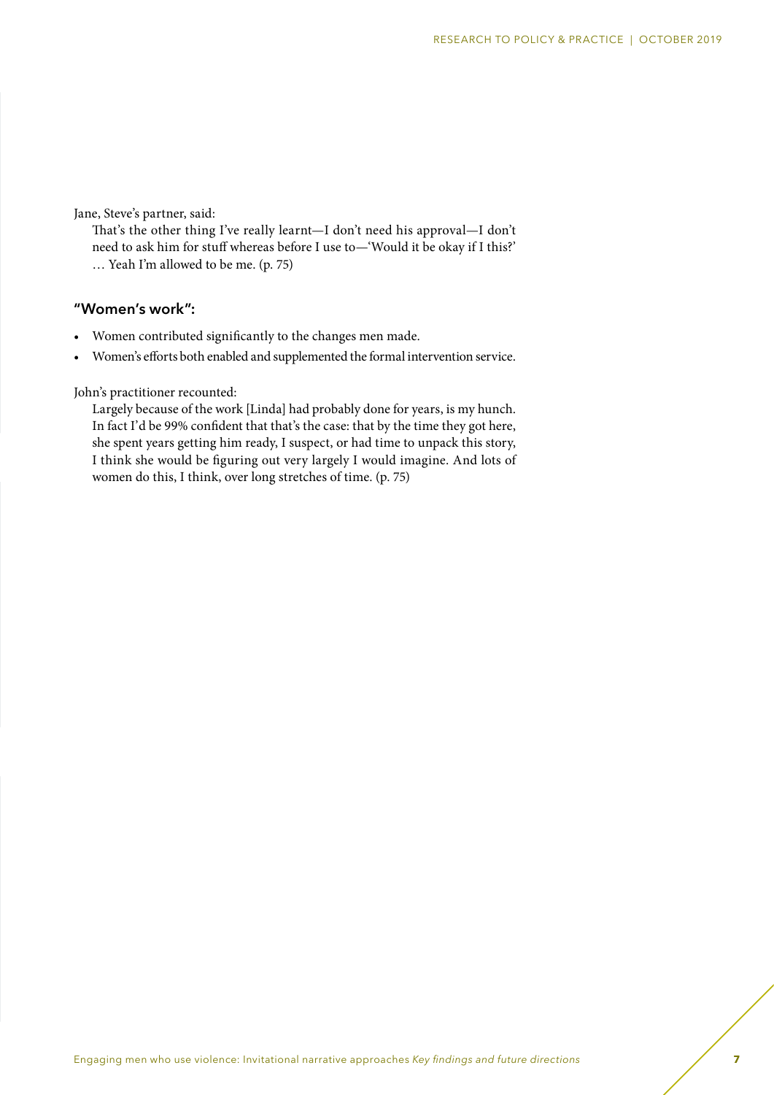Jane, Steve's partner, said:

That's the other thing I've really learnt—I don't need his approval—I don't need to ask him for stuff whereas before I use to—'Would it be okay if I this?' … Yeah I'm allowed to be me. (p. 75)

#### **"Women's work":**

- Women contributed significantly to the changes men made.
- Women's efforts both enabled and supplemented the formal intervention service.

John's practitioner recounted:

Largely because of the work [Linda] had probably done for years, is my hunch. In fact I'd be 99% confident that that's the case: that by the time they got here, she spent years getting him ready, I suspect, or had time to unpack this story, I think she would be figuring out very largely I would imagine. And lots of women do this, I think, over long stretches of time. (p. 75)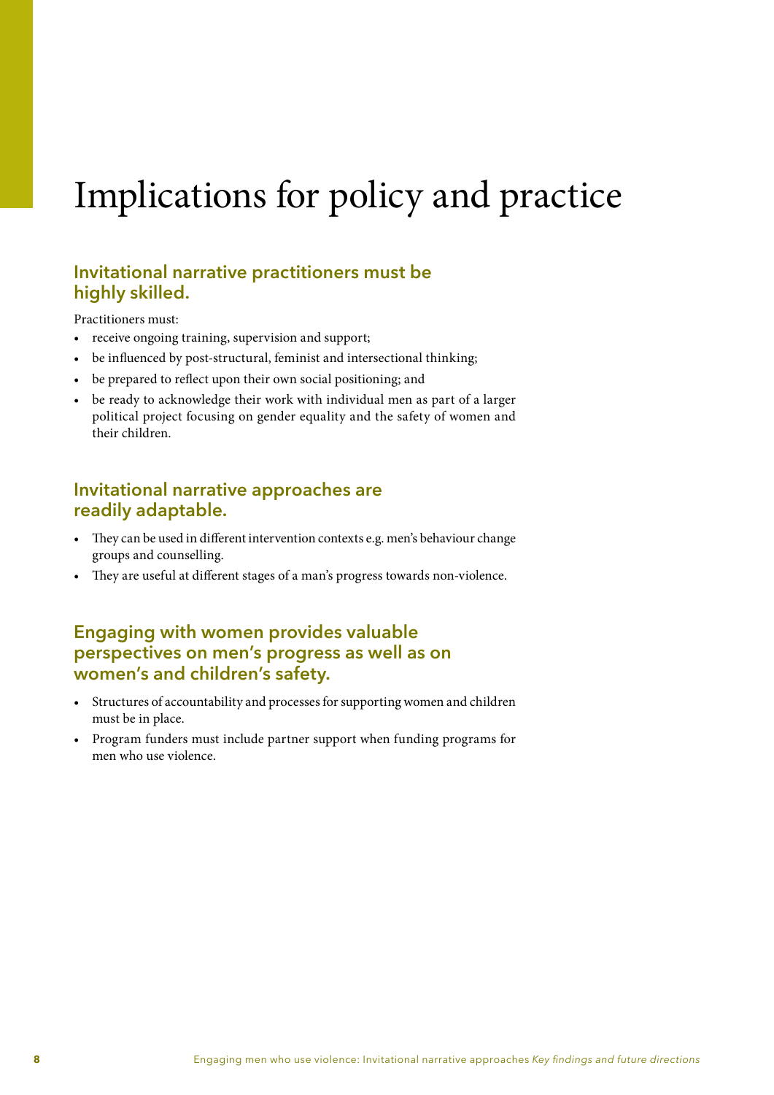# Implications for policy and practice

## **Invitational narrative practitioners must be highly skilled.**

Practitioners must:

- receive ongoing training, supervision and support;
- be influenced by post-structural, feminist and intersectional thinking;
- be prepared to reflect upon their own social positioning; and
- be ready to acknowledge their work with individual men as part of a larger political project focusing on gender equality and the safety of women and their children.

## **Invitational narrative approaches are readily adaptable.**

- They can be used in different intervention contexts e.g. men's behaviour change groups and counselling.
- They are useful at different stages of a man's progress towards non-violence.

### **Engaging with women provides valuable perspectives on men's progress as well as on women's and children's safety.**

- Structures of accountability and processes for supporting women and children must be in place.
- Program funders must include partner support when funding programs for men who use violence.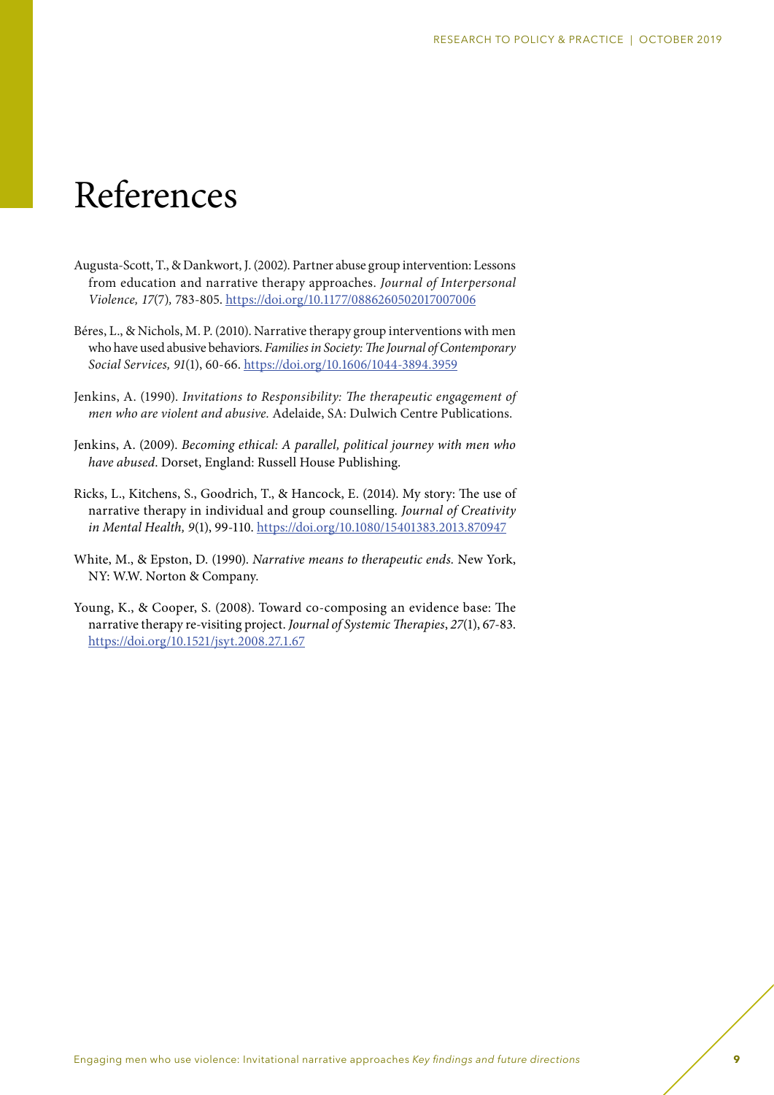## References

- Augusta-Scott, T., & Dankwort, J. (2002). Partner abuse group intervention: Lessons from education and narrative therapy approaches. *Journal of Interpersonal Violence, 17*(7)*,* 783-805. <https://doi.org/10.1177/0886260502017007006>
- Béres, L., & Nichols, M. P. (2010). Narrative therapy group interventions with men who have used abusive behaviors. *Families in Society: The Journal of Contemporary Social Services, 91*(1), 60-66. <https://doi.org/10.1606/1044-3894.3959>
- Jenkins, A. (1990). *Invitations to Responsibility: The therapeutic engagement of men who are violent and abusive.* Adelaide, SA: Dulwich Centre Publications.
- Jenkins, A. (2009). *Becoming ethical: A parallel, political journey with men who have abused*. Dorset, England: Russell House Publishing.
- Ricks, L., Kitchens, S., Goodrich, T., & Hancock, E. (2014). My story: The use of narrative therapy in individual and group counselling. *Journal of Creativity in Mental Health, 9*(1), 99-110. <https://doi.org/10.1080/15401383.2013.870947>
- White, M., & Epston, D. (1990). *Narrative means to therapeutic ends.* New York, NY: W.W. Norton & Company.
- Young, K., & Cooper, S. (2008). Toward co-composing an evidence base: The narrative therapy re-visiting project. *Journal of Systemic Therapies*, *27*(1), 67-83. <https://doi.org/10.1521/jsyt.2008.27.1.67>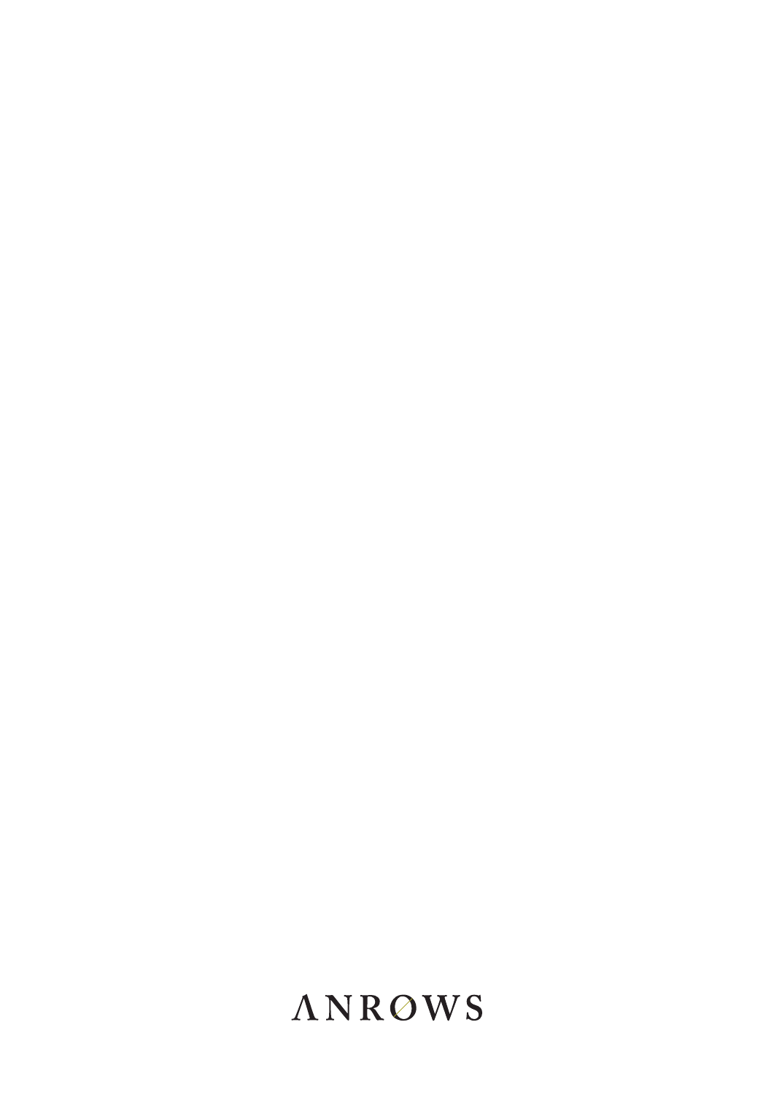## **ANROWS**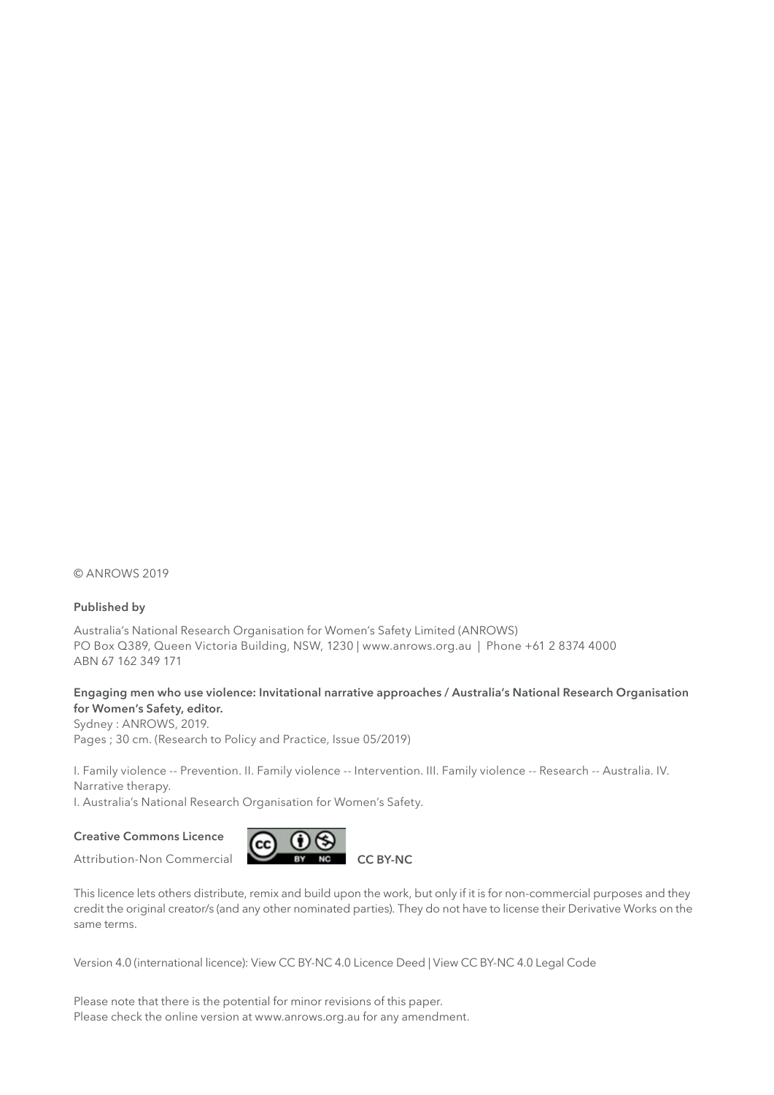© ANROWS 2019

#### **Published by**

Australia's National Research Organisation for Women's Safety Limited (ANROWS) PO Box Q389, Queen Victoria Building, NSW, 1230 | www.anrows.org.au | Phone +61 2 8374 4000 ABN 67 162 349 171

#### **Engaging men who use violence: Invitational narrative approaches / Australia's National Research Organisation for Women's Safety, editor.**

Sydney : ANROWS, 2019. Pages ; 30 cm. (Research to Policy and Practice, Issue 05/2019)

I. Family violence -- Prevention. II. Family violence -- Intervention. III. Family violence -- Research -- Australia. IV. Narrative therapy.

I. Australia's National Research Organisation for Women's Safety.

#### **Creative Commons Licence**

Attribution-Non Commercial



This licence lets others distribute, remix and build upon the work, but only if it is for non-commercial purposes and they credit the original creator/s (and any other nominated parties). They do not have to license their Derivative Works on the same terms.

Version 4.0 (international licence): View CC BY-NC 4.0 Licence Deed | View CC BY-NC 4.0 Legal Code

Please note that there is the potential for minor revisions of this paper. Please check the online version at www.anrows.org.au for any amendment.